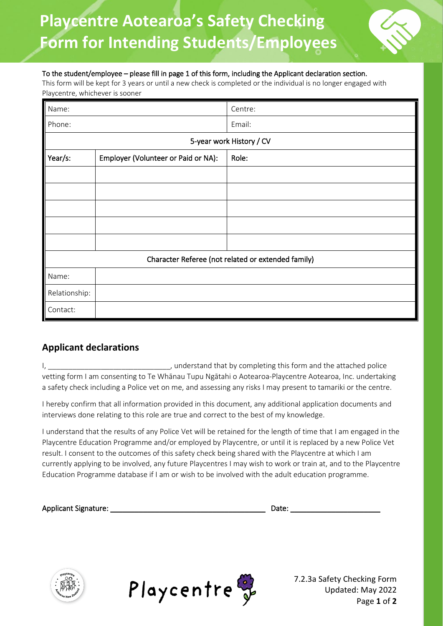## **Playcentre Aotearoa's Safety Checking Form for Intending Students/Employees**



## To the student/employee – please fill in page 1 of this form, including the Applicant declaration section.

This form will be kept for 3 years or until a new check is completed or the individual is no longer engaged with Playcentre, whichever is sooner

| Name:                                              |                                     | Centre: |  |  |  |
|----------------------------------------------------|-------------------------------------|---------|--|--|--|
| Phone:                                             |                                     | Email:  |  |  |  |
| 5-year work History / CV                           |                                     |         |  |  |  |
| Year/s:                                            | Employer (Volunteer or Paid or NA): | Role:   |  |  |  |
|                                                    |                                     |         |  |  |  |
|                                                    |                                     |         |  |  |  |
|                                                    |                                     |         |  |  |  |
|                                                    |                                     |         |  |  |  |
|                                                    |                                     |         |  |  |  |
| Character Referee (not related or extended family) |                                     |         |  |  |  |
| Name:                                              |                                     |         |  |  |  |
| Relationship:                                      |                                     |         |  |  |  |
| Contact:                                           |                                     |         |  |  |  |

## **Applicant declarations**

I, \_\_\_\_\_\_\_\_\_\_\_\_\_\_\_\_\_\_\_\_\_\_\_\_\_\_\_\_\_\_\_\_\_, understand that by completing this form and the attached police vetting form I am consenting to Te Whānau Tupu Ngātahi o Aotearoa-Playcentre Aotearoa, Inc. undertaking a safety check including a Police vet on me, and assessing any risks I may present to tamariki or the centre.

I hereby confirm that all information provided in this document, any additional application documents and interviews done relating to this role are true and correct to the best of my knowledge.

I understand that the results of any Police Vet will be retained for the length of time that I am engaged in the Playcentre Education Programme and/or employed by Playcentre, or until it is replaced by a new Police Vet result. I consent to the outcomes of this safety check being shared with the Playcentre at which I am currently applying to be involved, any future Playcentres I may wish to work or train at, and to the Playcentre Education Programme database if I am or wish to be involved with the adult education programme.

| <b>Applicant Signature:</b> | Date: |  |
|-----------------------------|-------|--|
|                             |       |  |